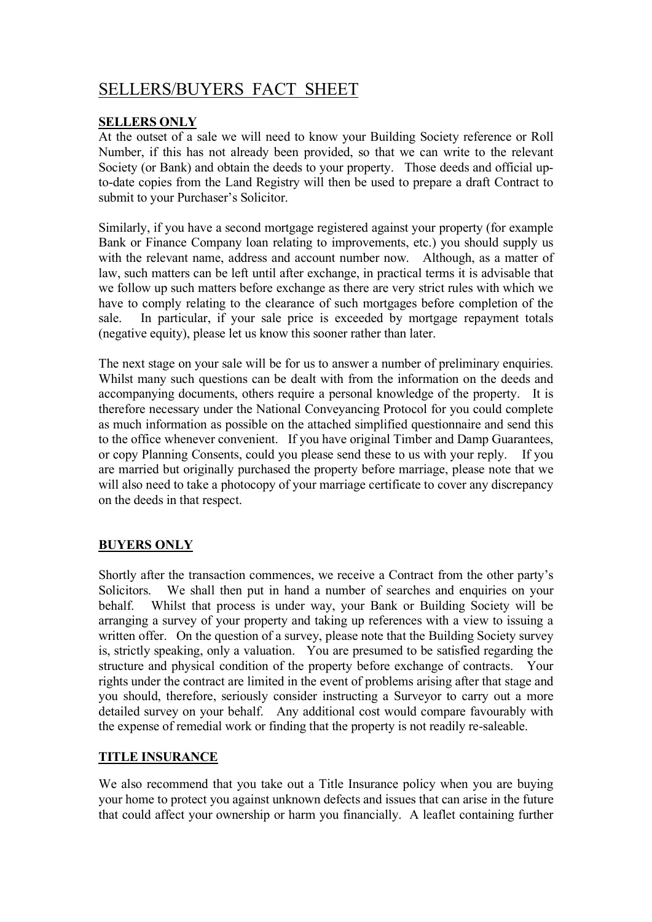# SELLERS/BUYERS FACT SHEET

## SELLERS ONLY

At the outset of a sale we will need to know your Building Society reference or Roll Number, if this has not already been provided, so that we can write to the relevant Society (or Bank) and obtain the deeds to your property. Those deeds and official upto-date copies from the Land Registry will then be used to prepare a draft Contract to submit to your Purchaser's Solicitor.

Similarly, if you have a second mortgage registered against your property (for example Bank or Finance Company loan relating to improvements, etc.) you should supply us with the relevant name, address and account number now. Although, as a matter of law, such matters can be left until after exchange, in practical terms it is advisable that we follow up such matters before exchange as there are very strict rules with which we have to comply relating to the clearance of such mortgages before completion of the sale. In particular, if your sale price is exceeded by mortgage repayment totals (negative equity), please let us know this sooner rather than later.

The next stage on your sale will be for us to answer a number of preliminary enquiries. Whilst many such questions can be dealt with from the information on the deeds and accompanying documents, others require a personal knowledge of the property. It is therefore necessary under the National Conveyancing Protocol for you could complete as much information as possible on the attached simplified questionnaire and send this to the office whenever convenient. If you have original Timber and Damp Guarantees, or copy Planning Consents, could you please send these to us with your reply. If you are married but originally purchased the property before marriage, please note that we will also need to take a photocopy of your marriage certificate to cover any discrepancy on the deeds in that respect.

# BUYERS ONLY

Shortly after the transaction commences, we receive a Contract from the other party's Solicitors. We shall then put in hand a number of searches and enquiries on your behalf. Whilst that process is under way, your Bank or Building Society will be arranging a survey of your property and taking up references with a view to issuing a written offer. On the question of a survey, please note that the Building Society survey is, strictly speaking, only a valuation. You are presumed to be satisfied regarding the structure and physical condition of the property before exchange of contracts. Your rights under the contract are limited in the event of problems arising after that stage and you should, therefore, seriously consider instructing a Surveyor to carry out a more detailed survey on your behalf. Any additional cost would compare favourably with the expense of remedial work or finding that the property is not readily re-saleable.

### TITLE INSURANCE

We also recommend that you take out a Title Insurance policy when you are buying your home to protect you against unknown defects and issues that can arise in the future that could affect your ownership or harm you financially. A leaflet containing further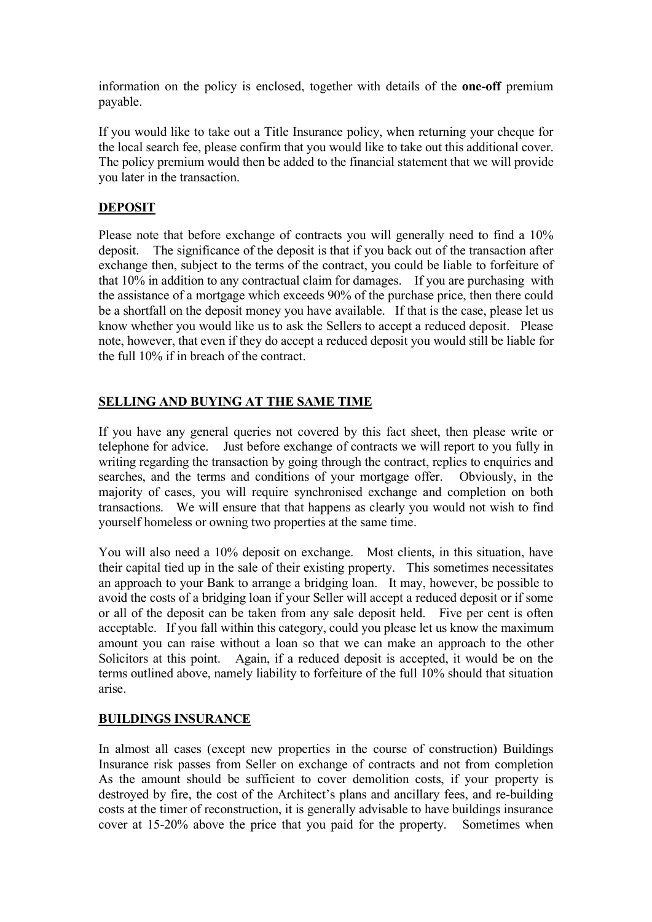information on the policy is enclosed, together with details of the one-off premium payable.

If you would like to take out a Title Insurance policy, when returning your cheque for the local search fee, please confirm that you would like to take out this additional cover. The policy premium would then be added to the financial statement that we will provide you later in the transaction.

## DEPOSIT

Please note that before exchange of contracts you will generally need to find a 10% deposit. The significance of the deposit is that if you back out of the transaction after exchange then, subject to the terms of the contract, you could be liable to forfeiture of that 10% in addition to any contractual claim for damages. If you are purchasing with the assistance of a mortgage which exceeds 90% of the purchase price, then there could be a shortfall on the deposit money you have available. If that is the case, please let us know whether you would like us to ask the Sellers to accept a reduced deposit. Please note, however, that even if they do accept a reduced deposit you would still be liable for the full 10% if in breach of the contract.

## SELLING AND BUYING AT THE SAME TIME

If you have any general queries not covered by this fact sheet, then please write or telephone for advice. Just before exchange of contracts we will report to you fully in writing regarding the transaction by going through the contract, replies to enquiries and searches, and the terms and conditions of your mortgage offer. Obviously, in the majority of cases, you will require synchronised exchange and completion on both transactions. We will ensure that that happens as clearly you would not wish to find yourself homeless or owning two properties at the same time.

You will also need a 10% deposit on exchange. Most clients, in this situation, have their capital tied up in the sale of their existing property. This sometimes necessitates an approach to your Bank to arrange a bridging loan. It may, however, be possible to avoid the costs of a bridging loan if your Seller will accept a reduced deposit or if some or all of the deposit can be taken from any sale deposit held. Five per cent is often acceptable. If you fall within this category, could you please let us know the maximum amount you can raise without a loan so that we can make an approach to the other Solicitors at this point. Again, if a reduced deposit is accepted, it would be on the terms outlined above, namely liability to forfeiture of the full 10% should that situation arise.

### BUILDINGS INSURANCE

In almost all cases (except new properties in the course of construction) Buildings Insurance risk passes from Seller on exchange of contracts and not from completion As the amount should be sufficient to cover demolition costs, if your property is destroyed by fire, the cost of the Architect's plans and ancillary fees, and re-building costs at the timer of reconstruction, it is generally advisable to have buildings insurance cover at 15-20% above the price that you paid for the property. Sometimes when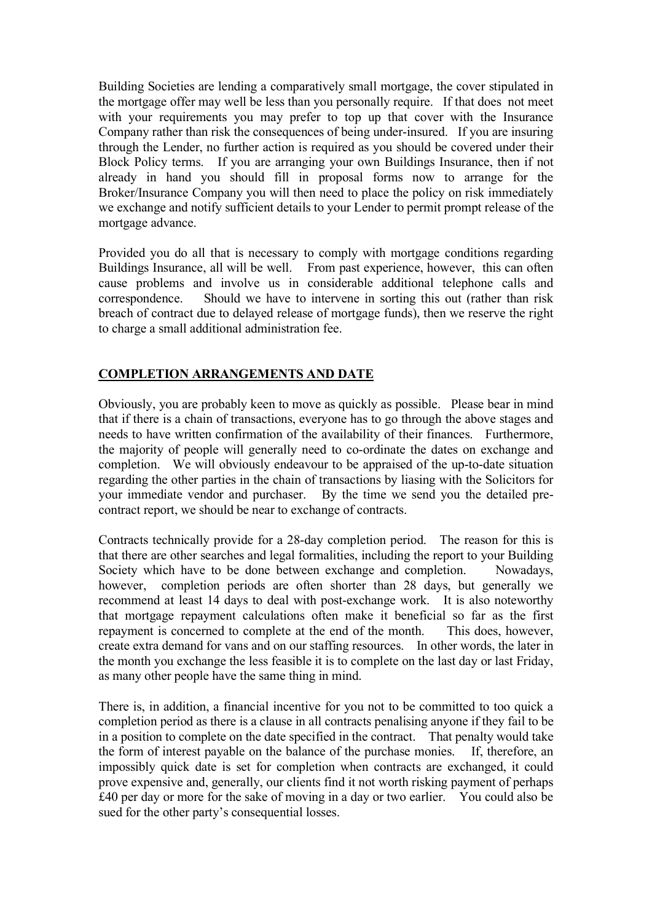Building Societies are lending a comparatively small mortgage, the cover stipulated in the mortgage offer may well be less than you personally require. If that does not meet with your requirements you may prefer to top up that cover with the Insurance Company rather than risk the consequences of being under-insured. If you are insuring through the Lender, no further action is required as you should be covered under their Block Policy terms. If you are arranging your own Buildings Insurance, then if not already in hand you should fill in proposal forms now to arrange for the Broker/Insurance Company you will then need to place the policy on risk immediately we exchange and notify sufficient details to your Lender to permit prompt release of the mortgage advance.

Provided you do all that is necessary to comply with mortgage conditions regarding Buildings Insurance, all will be well. From past experience, however, this can often cause problems and involve us in considerable additional telephone calls and correspondence. Should we have to intervene in sorting this out (rather than risk breach of contract due to delayed release of mortgage funds), then we reserve the right to charge a small additional administration fee.

## COMPLETION ARRANGEMENTS AND DATE

Obviously, you are probably keen to move as quickly as possible. Please bear in mind that if there is a chain of transactions, everyone has to go through the above stages and needs to have written confirmation of the availability of their finances. Furthermore, the majority of people will generally need to co-ordinate the dates on exchange and completion. We will obviously endeavour to be appraised of the up-to-date situation regarding the other parties in the chain of transactions by liasing with the Solicitors for your immediate vendor and purchaser. By the time we send you the detailed precontract report, we should be near to exchange of contracts.

Contracts technically provide for a 28-day completion period. The reason for this is that there are other searches and legal formalities, including the report to your Building Society which have to be done between exchange and completion. Nowadays, however, completion periods are often shorter than 28 days, but generally we recommend at least 14 days to deal with post-exchange work. It is also noteworthy that mortgage repayment calculations often make it beneficial so far as the first repayment is concerned to complete at the end of the month. This does, however, create extra demand for vans and on our staffing resources. In other words, the later in the month you exchange the less feasible it is to complete on the last day or last Friday, as many other people have the same thing in mind.

There is, in addition, a financial incentive for you not to be committed to too quick a completion period as there is a clause in all contracts penalising anyone if they fail to be in a position to complete on the date specified in the contract. That penalty would take the form of interest payable on the balance of the purchase monies. If, therefore, an impossibly quick date is set for completion when contracts are exchanged, it could prove expensive and, generally, our clients find it not worth risking payment of perhaps £40 per day or more for the sake of moving in a day or two earlier. You could also be sued for the other party's consequential losses.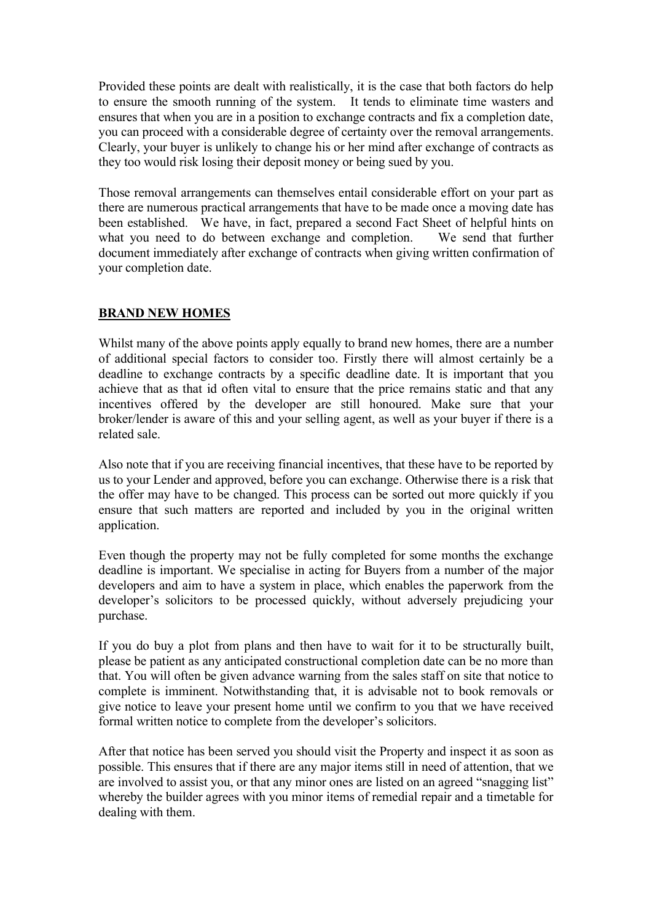Provided these points are dealt with realistically, it is the case that both factors do help to ensure the smooth running of the system. It tends to eliminate time wasters and ensures that when you are in a position to exchange contracts and fix a completion date, you can proceed with a considerable degree of certainty over the removal arrangements. Clearly, your buyer is unlikely to change his or her mind after exchange of contracts as they too would risk losing their deposit money or being sued by you.

Those removal arrangements can themselves entail considerable effort on your part as there are numerous practical arrangements that have to be made once a moving date has been established. We have, in fact, prepared a second Fact Sheet of helpful hints on what you need to do between exchange and completion. We send that further document immediately after exchange of contracts when giving written confirmation of your completion date.

## BRAND NEW HOMES

Whilst many of the above points apply equally to brand new homes, there are a number of additional special factors to consider too. Firstly there will almost certainly be a deadline to exchange contracts by a specific deadline date. It is important that you achieve that as that id often vital to ensure that the price remains static and that any incentives offered by the developer are still honoured. Make sure that your broker/lender is aware of this and your selling agent, as well as your buyer if there is a related sale.

Also note that if you are receiving financial incentives, that these have to be reported by us to your Lender and approved, before you can exchange. Otherwise there is a risk that the offer may have to be changed. This process can be sorted out more quickly if you ensure that such matters are reported and included by you in the original written application.

Even though the property may not be fully completed for some months the exchange deadline is important. We specialise in acting for Buyers from a number of the major developers and aim to have a system in place, which enables the paperwork from the developer's solicitors to be processed quickly, without adversely prejudicing your purchase.

If you do buy a plot from plans and then have to wait for it to be structurally built, please be patient as any anticipated constructional completion date can be no more than that. You will often be given advance warning from the sales staff on site that notice to complete is imminent. Notwithstanding that, it is advisable not to book removals or give notice to leave your present home until we confirm to you that we have received formal written notice to complete from the developer's solicitors.

After that notice has been served you should visit the Property and inspect it as soon as possible. This ensures that if there are any major items still in need of attention, that we are involved to assist you, or that any minor ones are listed on an agreed "snagging list" whereby the builder agrees with you minor items of remedial repair and a timetable for dealing with them.